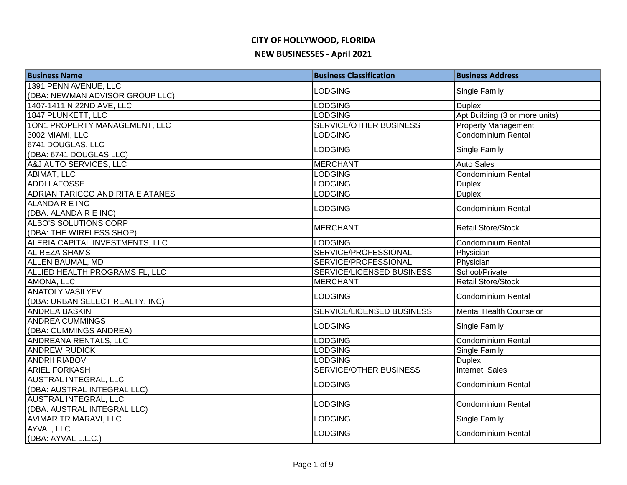| <b>Business Name</b>             | <b>Business Classification</b>   | <b>Business Address</b>        |
|----------------------------------|----------------------------------|--------------------------------|
| 1391 PENN AVENUE, LLC            | <b>LODGING</b>                   | <b>Single Family</b>           |
| (DBA: NEWMAN ADVISOR GROUP LLC)  |                                  |                                |
| 1407-1411 N 22ND AVE, LLC        | <b>LODGING</b>                   | <b>Duplex</b>                  |
| 1847 PLUNKETT, LLC               | <b>LODGING</b>                   | Apt Building (3 or more units) |
| 10N1 PROPERTY MANAGEMENT, LLC    | <b>SERVICE/OTHER BUSINESS</b>    | <b>Property Management</b>     |
| 3002 MIAMI, LLC                  | LODGING                          | <b>Condominium Rental</b>      |
| 6741 DOUGLAS, LLC                | <b>LODGING</b>                   | <b>Single Family</b>           |
| (DBA: 6741 DOUGLAS LLC)          |                                  |                                |
| A&J AUTO SERVICES, LLC           | <b>MERCHANT</b>                  | <b>Auto Sales</b>              |
| ABIMAT, LLC                      | <b>LODGING</b>                   | <b>Condominium Rental</b>      |
| <b>ADDI LAFOSSE</b>              | <b>LODGING</b>                   | <b>Duplex</b>                  |
| ADRIAN TARICCO AND RITA E ATANES | <b>LODGING</b>                   | <b>Duplex</b>                  |
| ALANDA R E INC                   | <b>LODGING</b>                   | Condominium Rental             |
| (DBA: ALANDA R E INC)            |                                  |                                |
| <b>ALBO'S SOLUTIONS CORP</b>     | <b>MERCHANT</b>                  | <b>Retail Store/Stock</b>      |
| (DBA: THE WIRELESS SHOP)         |                                  |                                |
| ALERIA CAPITAL INVESTMENTS, LLC  | <b>LODGING</b>                   | <b>Condominium Rental</b>      |
| <b>ALIREZA SHAMS</b>             | SERVICE/PROFESSIONAL             | Physician                      |
| ALLEN BAUMAL, MD                 | SERVICE/PROFESSIONAL             | Physician                      |
| ALLIED HEALTH PROGRAMS FL, LLC   | SERVICE/LICENSED BUSINESS        | School/Private                 |
| AMONA, LLC                       | <b>MERCHANT</b>                  | <b>Retail Store/Stock</b>      |
| <b>ANATOLY VASILYEV</b>          | <b>LODGING</b>                   | <b>Condominium Rental</b>      |
| (DBA: URBAN SELECT REALTY, INC)  |                                  |                                |
| <b>ANDREA BASKIN</b>             | <b>SERVICE/LICENSED BUSINESS</b> | <b>Mental Health Counselor</b> |
| <b>ANDREA CUMMINGS</b>           | <b>LODGING</b>                   | Single Family                  |
| (DBA: CUMMINGS ANDREA)           |                                  |                                |
| ANDREANA RENTALS, LLC            | <b>LODGING</b>                   | Condominium Rental             |
| <b>ANDREW RUDICK</b>             | <b>LODGING</b>                   | Single Family                  |
| <b>ANDRII RIABOV</b>             | <b>LODGING</b>                   | <b>Duplex</b>                  |
| <b>ARIEL FORKASH</b>             | SERVICE/OTHER BUSINESS           | <b>Internet Sales</b>          |
| <b>AUSTRAL INTEGRAL, LLC</b>     | <b>LODGING</b>                   | Condominium Rental             |
| (DBA: AUSTRAL INTEGRAL LLC)      |                                  |                                |
| <b>AUSTRAL INTEGRAL, LLC</b>     | <b>LODGING</b>                   | <b>Condominium Rental</b>      |
| (DBA: AUSTRAL INTEGRAL LLC)      |                                  |                                |
| <b>AVIMAR TR MARAVI, LLC</b>     | <b>LODGING</b>                   | <b>Single Family</b>           |
| AYVAL, LLC                       | <b>LODGING</b>                   | <b>Condominium Rental</b>      |
| (DBA: AYVAL L.L.C.)              |                                  |                                |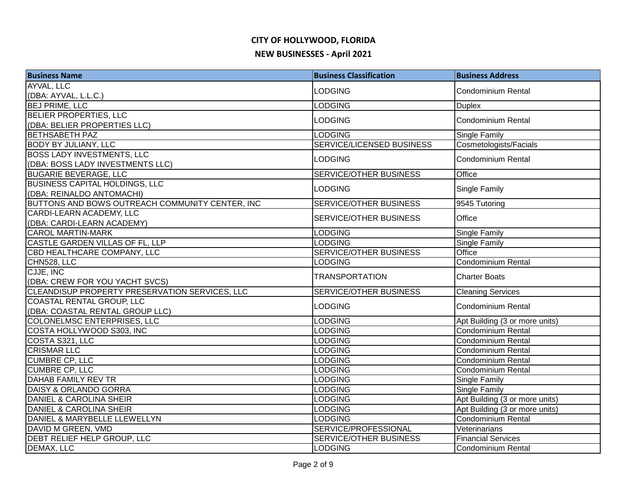| <b>Business Name</b>                                   | <b>Business Classification</b>   | <b>Business Address</b>        |
|--------------------------------------------------------|----------------------------------|--------------------------------|
| <b>AYVAL, LLC</b>                                      | <b>LODGING</b>                   | Condominium Rental             |
| (DBA: AYVAL, L.L.C.)                                   |                                  |                                |
| <b>BEJ PRIME, LLC</b>                                  | <b>LODGING</b>                   | <b>Duplex</b>                  |
| <b>BELIER PROPERTIES, LLC</b>                          | <b>LODGING</b>                   | Condominium Rental             |
| (DBA: BELIER PROPERTIES LLC)                           |                                  |                                |
| <b>BETHSABETH PAZ</b>                                  | <b>LODGING</b>                   | Single Family                  |
| <b>BODY BY JULIANY, LLC</b>                            | <b>SERVICE/LICENSED BUSINESS</b> | Cosmetologists/Facials         |
| <b>BOSS LADY INVESTMENTS, LLC</b>                      | <b>LODGING</b>                   | <b>Condominium Rental</b>      |
| (DBA: BOSS LADY INVESTMENTS LLC)                       |                                  |                                |
| <b>BUGARIE BEVERAGE, LLC</b>                           | SERVICE/OTHER BUSINESS           | Office                         |
| <b>BUSINESS CAPITAL HOLDINGS, LLC</b>                  | <b>LODGING</b>                   | Single Family                  |
| (DBA: REINALDO ANTOMACHI)                              |                                  |                                |
| <b>BUTTONS AND BOWS OUTREACH COMMUNITY CENTER, INC</b> | SERVICE/OTHER BUSINESS           | 9545 Tutoring                  |
| CARDI-LEARN ACADEMY, LLC                               | SERVICE/OTHER BUSINESS           | Office                         |
| (DBA: CARDI-LEARN ACADEMY)                             |                                  |                                |
| <b>CAROL MARTIN-MARK</b>                               | <b>LODGING</b>                   | Single Family                  |
| CASTLE GARDEN VILLAS OF FL, LLP                        | <b>LODGING</b>                   | <b>Single Family</b>           |
| CBD HEALTHCARE COMPANY, LLC                            | SERVICE/OTHER BUSINESS           | Office                         |
| CHN528, LLC                                            | <b>LODGING</b>                   | Condominium Rental             |
| CJJE, INC                                              | <b>TRANSPORTATION</b>            | <b>Charter Boats</b>           |
| (DBA: CREW FOR YOU YACHT SVCS)                         |                                  |                                |
| CLEANDISUP PROPERTY PRESERVATION SERVICES, LLC         | SERVICE/OTHER BUSINESS           | <b>Cleaning Services</b>       |
| COASTAL RENTAL GROUP, LLC                              | <b>LODGING</b>                   | <b>Condominium Rental</b>      |
| (DBA: COASTAL RENTAL GROUP LLC)                        |                                  |                                |
| <b>COLONELMSC ENTERPRISES, LLC</b>                     | <b>LODGING</b>                   | Apt Building (3 or more units) |
| COSTA HOLLYWOOD S303, INC                              | <b>LODGING</b>                   | <b>Condominium Rental</b>      |
| COSTA S321, LLC                                        | <b>LODGING</b>                   | Condominium Rental             |
| <b>CRISMAR LLC</b>                                     | <b>LODGING</b>                   | Condominium Rental             |
| <b>CUMBRE CP, LLC</b>                                  | <b>LODGING</b>                   | Condominium Rental             |
| <b>CUMBRE CP, LLC</b>                                  | <b>LODGING</b>                   | <b>Condominium Rental</b>      |
| DAHAB FAMILY REV TR                                    | LODGING                          | Single Family                  |
| DAISY & ORLANDO GORRA                                  | <b>LODGING</b>                   | <b>Single Family</b>           |
| DANIEL & CAROLINA SHEIR                                | LODGING                          | Apt Building (3 or more units) |
| <b>DANIEL &amp; CAROLINA SHEIR</b>                     | <b>LODGING</b>                   | Apt Building (3 or more units) |
| DANIEL & MARYBELLE LLEWELLYN                           | <b>LODGING</b>                   | Condominium Rental             |
| DAVID M GREEN, VMD                                     | SERVICE/PROFESSIONAL             | Veterinarians                  |
| <b>DEBT RELIEF HELP GROUP, LLC</b>                     | SERVICE/OTHER BUSINESS           | <b>Financial Services</b>      |
| DEMAX, LLC                                             | <b>LODGING</b>                   | Condominium Rental             |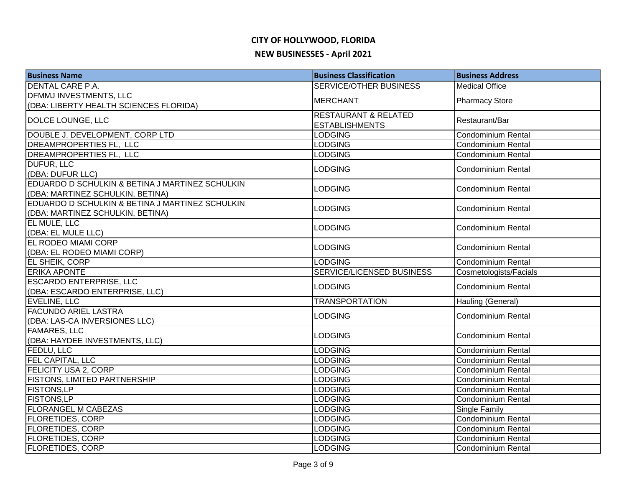| <b>Business Name</b>                                                                | <b>Business Classification</b>                           | <b>Business Address</b>   |
|-------------------------------------------------------------------------------------|----------------------------------------------------------|---------------------------|
| <b>DENTAL CARE P.A.</b>                                                             | <b>SERVICE/OTHER BUSINESS</b>                            | <b>Medical Office</b>     |
| DFMMJ INVESTMENTS, LLC<br>(DBA: LIBERTY HEALTH SCIENCES FLORIDA)                    | <b>MERCHANT</b>                                          | <b>Pharmacy Store</b>     |
| DOLCE LOUNGE, LLC                                                                   | <b>RESTAURANT &amp; RELATED</b><br><b>ESTABLISHMENTS</b> | Restaurant/Bar            |
| DOUBLE J. DEVELOPMENT, CORP LTD                                                     | <b>LODGING</b>                                           | Condominium Rental        |
| DREAMPROPERTIES FL, LLC                                                             | <b>LODGING</b>                                           | <b>Condominium Rental</b> |
| <b>DREAMPROPERTIES FL, LLC</b>                                                      | <b>LODGING</b>                                           | Condominium Rental        |
| <b>DUFUR, LLC</b><br>(DBA: DUFUR LLC)                                               | <b>LODGING</b>                                           | Condominium Rental        |
| EDUARDO D SCHULKIN & BETINA J MARTINEZ SCHULKIN<br>(DBA: MARTINEZ SCHULKIN, BETINA) | <b>LODGING</b>                                           | Condominium Rental        |
| EDUARDO D SCHULKIN & BETINA J MARTINEZ SCHULKIN<br>(DBA: MARTINEZ SCHULKIN, BETINA) | <b>LODGING</b>                                           | <b>Condominium Rental</b> |
| EL MULE, LLC<br>(DBA: EL MULE LLC)                                                  | LODGING                                                  | <b>Condominium Rental</b> |
| <b>EL RODEO MIAMI CORP</b><br>(DBA: EL RODEO MIAMI CORP)                            | <b>LODGING</b>                                           | Condominium Rental        |
| <b>EL SHEIK, CORP</b>                                                               | <b>LODGING</b>                                           | Condominium Rental        |
| <b>ERIKA APONTE</b>                                                                 | SERVICE/LICENSED BUSINESS                                | Cosmetologists/Facials    |
| <b>ESCARDO ENTERPRISE, LLC</b><br>(DBA: ESCARDO ENTERPRISE, LLC)                    | <b>LODGING</b>                                           | Condominium Rental        |
| EVELINE, LLC                                                                        | <b>TRANSPORTATION</b>                                    | Hauling (General)         |
| <b>FACUNDO ARIEL LASTRA</b><br>(DBA: LAS-CA INVERSIONES LLC)                        | <b>LODGING</b>                                           | <b>Condominium Rental</b> |
| <b>FAMARES, LLC</b><br>(DBA: HAYDEE INVESTMENTS, LLC)                               | <b>LODGING</b>                                           | Condominium Rental        |
| <b>FEDLU, LLC</b>                                                                   | <b>LODGING</b>                                           | <b>Condominium Rental</b> |
| <b>FEL CAPITAL, LLC</b>                                                             | <b>LODGING</b>                                           | Condominium Rental        |
| <b>FELICITY USA 2, CORP</b>                                                         | <b>LODGING</b>                                           | Condominium Rental        |
| <b>FISTONS, LIMITED PARTNERSHIP</b>                                                 | <b>LODGING</b>                                           | <b>Condominium Rental</b> |
| <b>FISTONS,LP</b>                                                                   | <b>LODGING</b>                                           | Condominium Rental        |
| <b>FISTONS,LP</b>                                                                   | <b>LODGING</b>                                           | <b>Condominium Rental</b> |
| <b>FLORANGEL M CABEZAS</b>                                                          | <b>LODGING</b>                                           | <b>Single Family</b>      |
| <b>FLORETIDES, CORP</b>                                                             | <b>LODGING</b>                                           | Condominium Rental        |
| <b>FLORETIDES, CORP</b>                                                             | <b>LODGING</b>                                           | Condominium Rental        |
| <b>FLORETIDES, CORP</b>                                                             | <b>LODGING</b>                                           | <b>Condominium Rental</b> |
| <b>FLORETIDES, CORP</b>                                                             | <b>LODGING</b>                                           | Condominium Rental        |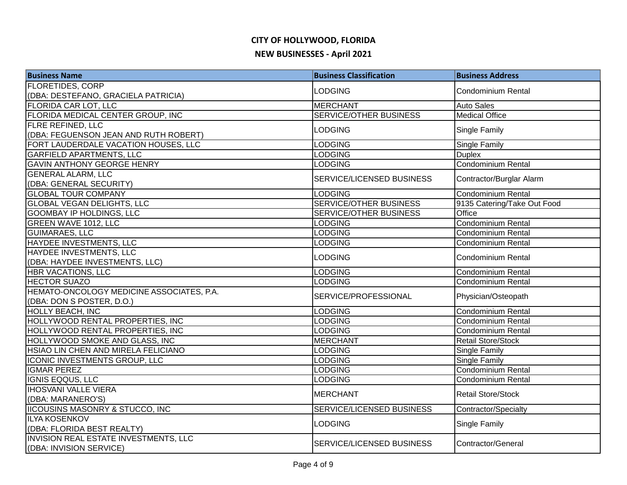| <b>Business Name</b>                         | <b>Business Classification</b> | <b>Business Address</b>     |
|----------------------------------------------|--------------------------------|-----------------------------|
| <b>FLORETIDES, CORP</b>                      | <b>LODGING</b>                 | Condominium Rental          |
| (DBA: DESTEFANO, GRACIELA PATRICIA)          |                                |                             |
| FLORIDA CAR LOT, LLC                         | <b>MERCHANT</b>                | <b>Auto Sales</b>           |
| FLORIDA MEDICAL CENTER GROUP, INC            | <b>SERVICE/OTHER BUSINESS</b>  | <b>Medical Office</b>       |
| <b>FLRE REFINED, LLC</b>                     | <b>LODGING</b>                 |                             |
| (DBA: FEGUENSON JEAN AND RUTH ROBERT)        |                                | <b>Single Family</b>        |
| FORT LAUDERDALE VACATION HOUSES, LLC         | <b>LODGING</b>                 | Single Family               |
| <b>GARFIELD APARTMENTS, LLC</b>              | <b>LODGING</b>                 | <b>Duplex</b>               |
| <b>GAVIN ANTHONY GEORGE HENRY</b>            | <b>LODGING</b>                 | <b>Condominium Rental</b>   |
| <b>GENERAL ALARM, LLC</b>                    |                                |                             |
| (DBA: GENERAL SECURITY)                      | SERVICE/LICENSED BUSINESS      | Contractor/Burglar Alarm    |
| <b>GLOBAL TOUR COMPANY</b>                   | <b>LODGING</b>                 | Condominium Rental          |
| <b>GLOBAL VEGAN DELIGHTS, LLC</b>            | SERVICE/OTHER BUSINESS         | 9135 Catering/Take Out Food |
| <b>GOOMBAY IP HOLDINGS, LLC</b>              | SERVICE/OTHER BUSINESS         | Office                      |
| GREEN WAVE 1012, LLC                         | <b>LODGING</b>                 | Condominium Rental          |
| <b>GUIMARAES, LLC</b>                        | <b>LODGING</b>                 | Condominium Rental          |
| <b>HAYDEE INVESTMENTS, LLC</b>               | <b>LODGING</b>                 | Condominium Rental          |
| HAYDEE INVESTMENTS, LLC                      | <b>LODGING</b>                 | Condominium Rental          |
| (DBA: HAYDEE INVESTMENTS, LLC)               |                                |                             |
| HBR VACATIONS, LLC                           | <b>LODGING</b>                 | Condominium Rental          |
| <b>HECTOR SUAZO</b>                          | <b>LODGING</b>                 | Condominium Rental          |
| HEMATO-ONCOLOGY MEDICINE ASSOCIATES, P.A.    | SERVICE/PROFESSIONAL           | Physician/Osteopath         |
| (DBA: DON S POSTER, D.O.)                    |                                |                             |
| <b>HOLLY BEACH, INC</b>                      | <b>LODGING</b>                 | Condominium Rental          |
| HOLLYWOOD RENTAL PROPERTIES, INC             | <b>LODGING</b>                 | <b>Condominium Rental</b>   |
| HOLLYWOOD RENTAL PROPERTIES, INC             | <b>LODGING</b>                 | Condominium Rental          |
| HOLLYWOOD SMOKE AND GLASS, INC               | <b>MERCHANT</b>                | <b>Retail Store/Stock</b>   |
| HSIAO LIN CHEN AND MIRELA FELICIANO          | <b>LODGING</b>                 | <b>Single Family</b>        |
| <b>ICONIC INVESTMENTS GROUP, LLC</b>         | <b>LODGING</b>                 | <b>Single Family</b>        |
| <b>IGMAR PEREZ</b>                           | <b>LODGING</b>                 | <b>Condominium Rental</b>   |
| <b>IGNIS EQQUS, LLC</b>                      | <b>LODGING</b>                 | <b>Condominium Rental</b>   |
| <b>IHOSVANI VALLE VIERA</b>                  | <b>MERCHANT</b>                | <b>Retail Store/Stock</b>   |
| (DBA: MARANERO'S)                            |                                |                             |
| <b>IICOUSINS MASONRY &amp; STUCCO, INC</b>   | SERVICE/LICENSED BUSINESS      | Contractor/Specialty        |
| <b>ILYA KOSENKOV</b>                         | <b>LODGING</b>                 | Single Family               |
| (DBA: FLORIDA BEST REALTY)                   |                                |                             |
| <b>INVISION REAL ESTATE INVESTMENTS, LLC</b> | SERVICE/LICENSED BUSINESS      | Contractor/General          |
| (DBA: INVISION SERVICE)                      |                                |                             |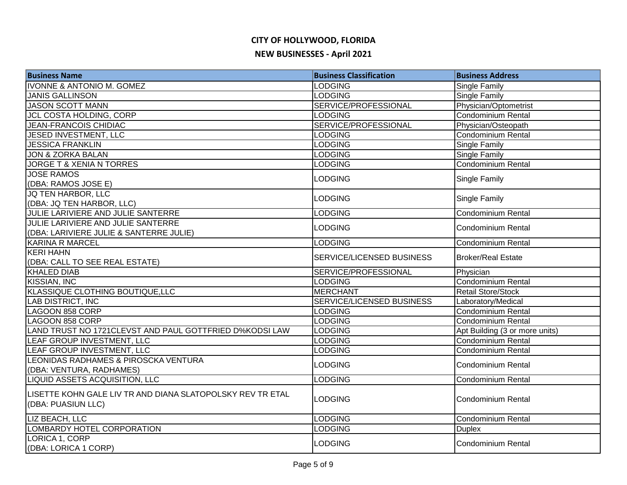| <b>Business Name</b>                                       | <b>Business Classification</b> | <b>Business Address</b>        |
|------------------------------------------------------------|--------------------------------|--------------------------------|
| <b>IVONNE &amp; ANTONIO M. GOMEZ</b>                       | <b>LODGING</b>                 | Single Family                  |
| <b>JANIS GALLINSON</b>                                     | <b>LODGING</b>                 | <b>Single Family</b>           |
| <b>JASON SCOTT MANN</b>                                    | SERVICE/PROFESSIONAL           | Physician/Optometrist          |
| <b>JCL COSTA HOLDING, CORP</b>                             | <b>LODGING</b>                 | <b>Condominium Rental</b>      |
| <b>JEAN-FRANCOIS CHIDIAC</b>                               | SERVICE/PROFESSIONAL           | Physician/Osteopath            |
| <b>JESED INVESTMENT, LLC</b>                               | <b>LODGING</b>                 | Condominium Rental             |
| <b>JESSICA FRANKLIN</b>                                    | <b>LODGING</b>                 | <b>Single Family</b>           |
| <b>JON &amp; ZORKA BALAN</b>                               | <b>LODGING</b>                 | Single Family                  |
| <b>JORGE T &amp; XENIA N TORRES</b>                        | <b>LODGING</b>                 | <b>Condominium Rental</b>      |
| <b>JOSE RAMOS</b>                                          | <b>LODGING</b>                 | <b>Single Family</b>           |
| (DBA: RAMOS JOSE E)                                        |                                |                                |
| JQ TEN HARBOR, LLC                                         | <b>LODGING</b>                 | <b>Single Family</b>           |
| (DBA: JQ TEN HARBOR, LLC)                                  |                                |                                |
| JULIE LARIVIERE AND JULIE SANTERRE                         | <b>LODGING</b>                 | Condominium Rental             |
| JULIE LARIVIERE AND JULIE SANTERRE                         | <b>LODGING</b>                 | Condominium Rental             |
| (DBA: LARIVIERE JULIE & SANTERRE JULIE)                    |                                |                                |
| <b>KARINA R MARCEL</b>                                     | <b>LODGING</b>                 | Condominium Rental             |
| <b>KERI HAHN</b>                                           | SERVICE/LICENSED BUSINESS      | <b>Broker/Real Estate</b>      |
| (DBA: CALL TO SEE REAL ESTATE)                             |                                |                                |
| <b>KHALED DIAB</b>                                         | SERVICE/PROFESSIONAL           | Physician                      |
| KISSIAN, INC                                               | <b>LODGING</b>                 | Condominium Rental             |
| KLASSIQUE CLOTHING BOUTIQUE,LLC                            | <b>MERCHANT</b>                | <b>Retail Store/Stock</b>      |
| LAB DISTRICT, INC                                          | SERVICE/LICENSED BUSINESS      | Laboratory/Medical             |
| LAGOON 858 CORP                                            | <b>LODGING</b>                 | <b>Condominium Rental</b>      |
| LAGOON 858 CORP                                            | <b>LODGING</b>                 | Condominium Rental             |
| LAND TRUST NO 1721CLEVST AND PAUL GOTTFRIED D%KODSI LAW    | <b>LODGING</b>                 | Apt Building (3 or more units) |
| LEAF GROUP INVESTMENT, LLC                                 | <b>LODGING</b>                 | Condominium Rental             |
| LEAF GROUP INVESTMENT, LLC                                 | <b>LODGING</b>                 | Condominium Rental             |
| LEONIDAS RADHAMES & PIROSCKA VENTURA                       | <b>LODGING</b>                 | Condominium Rental             |
| (DBA: VENTURA, RADHAMES)                                   |                                |                                |
| LIQUID ASSETS ACQUISITION, LLC                             | <b>LODGING</b>                 | Condominium Rental             |
| LISETTE KOHN GALE LIV TR AND DIANA SLATOPOLSKY REV TR ETAL | <b>LODGING</b>                 | Condominium Rental             |
| (DBA: PUASIUN LLC)                                         |                                |                                |
| LIZ BEACH, LLC                                             | <b>LODGING</b>                 | Condominium Rental             |
| LOMBARDY HOTEL CORPORATION                                 | <b>LODGING</b>                 | Duplex                         |
| LORICA 1, CORP                                             | <b>LODGING</b>                 | Condominium Rental             |
| (DBA: LORICA 1 CORP)                                       |                                |                                |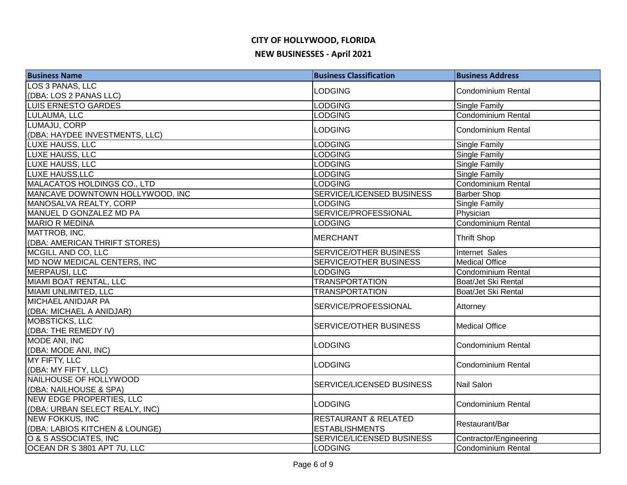| <b>Business Name</b>            | <b>Business Classification</b>  | <b>Business Address</b>   |
|---------------------------------|---------------------------------|---------------------------|
| LOS 3 PANAS, LLC                | <b>LODGING</b>                  | <b>Condominium Rental</b> |
| (DBA: LOS 2 PANAS LLC)          |                                 |                           |
| <b>LUIS ERNESTO GARDES</b>      | <b>LODGING</b>                  | Single Family             |
| LULAUMA, LLC                    | <b>LODGING</b>                  | Condominium Rental        |
| LUMAJU, CORP                    | LODGING                         | Condominium Rental        |
| (DBA: HAYDEE INVESTMENTS, LLC)  |                                 |                           |
| <b>LUXE HAUSS, LLC</b>          | <b>LODGING</b>                  | Single Family             |
| <b>LUXE HAUSS, LLC</b>          | <b>LODGING</b>                  | <b>Single Family</b>      |
| LUXE HAUSS, LLC                 | <b>LODGING</b>                  | Single Family             |
| <b>LUXE HAUSS, LLC</b>          | <b>LODGING</b>                  | <b>Single Family</b>      |
| MALACATOS HOLDINGS CO., LTD     | <b>LODGING</b>                  | Condominium Rental        |
| MANCAVE DOWNTOWN HOLLYWOOD, INC | SERVICE/LICENSED BUSINESS       | <b>Barber Shop</b>        |
| MANOSALVA REALTY, CORP          | LODGING                         | Single Family             |
| MANUEL D GONZALEZ MD PA         | SERVICE/PROFESSIONAL            | Physician                 |
| <b>MARIO R MEDINA</b>           | <b>LODGING</b>                  | <b>Condominium Rental</b> |
| MATTROB, INC.                   |                                 |                           |
| (DBA: AMERICAN THRIFT STORES)   | <b>MERCHANT</b>                 | <b>Thrift Shop</b>        |
| MCGILL AND CO, LLC              | SERVICE/OTHER BUSINESS          | Internet Sales            |
| MD NOW MEDICAL CENTERS, INC     | SERVICE/OTHER BUSINESS          | <b>Medical Office</b>     |
| <b>MERPAUSI, LLC</b>            | <b>LODGING</b>                  | Condominium Rental        |
| MIAMI BOAT RENTAL, LLC          | <b>TRANSPORTATION</b>           | Boat/Jet Ski Rental       |
| MIAMI UNLIMITED, LLC            | <b>TRANSPORTATION</b>           | Boat/Jet Ski Rental       |
| MICHAEL ANIDJAR PA              | SERVICE/PROFESSIONAL            |                           |
| (DBA: MICHAEL A ANIDJAR)        |                                 | Attorney                  |
| <b>MOBSTICKS, LLC</b>           | SERVICE/OTHER BUSINESS          | <b>Medical Office</b>     |
| (DBA: THE REMEDY IV)            |                                 |                           |
| <b>MODE ANI, INC</b>            | <b>LODGING</b>                  | Condominium Rental        |
| (DBA: MODE ANI, INC)            |                                 |                           |
| MY FIFTY, LLC                   | <b>LODGING</b>                  | Condominium Rental        |
| (DBA: MY FIFTY, LLC)            |                                 |                           |
| NAILHOUSE OF HOLLYWOOD          | SERVICE/LICENSED BUSINESS       | <b>Nail Salon</b>         |
| (DBA: NAILHOUSE & SPA)          |                                 |                           |
| NEW EDGE PROPERTIES, LLC        | <b>LODGING</b>                  | Condominium Rental        |
| (DBA: URBAN SELECT REALY, INC)  |                                 |                           |
| <b>NEW FOKKUS, INC</b>          | <b>RESTAURANT &amp; RELATED</b> | Restaurant/Bar            |
| (DBA: LABIOS KITCHEN & LOUNGE)  | <b>ESTABLISHMENTS</b>           |                           |
| O & S ASSOCIATES, INC           | SERVICE/LICENSED BUSINESS       | Contractor/Engineering    |
| OCEAN DR S 3801 APT 7U, LLC     | <b>LODGING</b>                  | Condominium Rental        |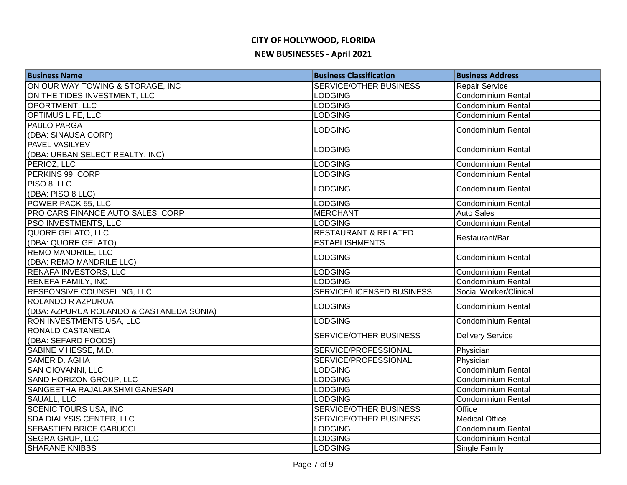| <b>Business Name</b>                     | <b>Business Classification</b>  | <b>Business Address</b>   |
|------------------------------------------|---------------------------------|---------------------------|
| ON OUR WAY TOWING & STORAGE, INC         | SERVICE/OTHER BUSINESS          | <b>Repair Service</b>     |
| ON THE TIDES INVESTMENT, LLC             | <b>LODGING</b>                  | Condominium Rental        |
| OPORTMENT, LLC                           | <b>LODGING</b>                  | Condominium Rental        |
| <b>OPTIMUS LIFE, LLC</b>                 | <b>LODGING</b>                  | <b>Condominium Rental</b> |
| <b>PABLO PARGA</b>                       | <b>LODGING</b>                  | Condominium Rental        |
| (DBA: SINAUSA CORP)                      |                                 |                           |
| <b>PAVEL VASILYEV</b>                    | <b>LODGING</b>                  | Condominium Rental        |
| (DBA: URBAN SELECT REALTY, INC)          |                                 |                           |
| PERIOZ, LLC                              | <b>LODGING</b>                  | <b>Condominium Rental</b> |
| PERKINS 99, CORP                         | <b>LODGING</b>                  | <b>Condominium Rental</b> |
| PISO 8, LLC                              | <b>LODGING</b>                  | Condominium Rental        |
| (DBA: PISO 8 LLC)                        |                                 |                           |
| POWER PACK 55, LLC                       | <b>LODGING</b>                  | <b>Condominium Rental</b> |
| PRO CARS FINANCE AUTO SALES, CORP        | <b>MERCHANT</b>                 | <b>Auto Sales</b>         |
| <b>PSO INVESTMENTS, LLC</b>              | <b>LODGING</b>                  | Condominium Rental        |
| QUORE GELATO, LLC                        | <b>RESTAURANT &amp; RELATED</b> | Restaurant/Bar            |
| (DBA: QUORE GELATO)                      | <b>ESTABLISHMENTS</b>           |                           |
| <b>REMO MANDRILE, LLC</b>                | <b>LODGING</b>                  | Condominium Rental        |
| (DBA: REMO MANDRILE LLC)                 |                                 |                           |
| <b>RENAFA INVESTORS, LLC</b>             | <b>LODGING</b>                  | <b>Condominium Rental</b> |
| <b>RENEFA FAMILY, INC</b>                | LODGING                         | <b>Condominium Rental</b> |
| RESPONSIVE COUNSELING, LLC               | SERVICE/LICENSED BUSINESS       | Social Worker/Clinical    |
| ROLANDO R AZPURUA                        | <b>LODGING</b>                  | Condominium Rental        |
| (DBA: AZPURUA ROLANDO & CASTANEDA SONIA) |                                 |                           |
| RON INVESTMENTS USA, LLC                 | <b>LODGING</b>                  | <b>Condominium Rental</b> |
| RONALD CASTANEDA                         | <b>SERVICE/OTHER BUSINESS</b>   | <b>Delivery Service</b>   |
| (DBA: SEFARD FOODS)                      |                                 |                           |
| SABINE V HESSE, M.D.                     | SERVICE/PROFESSIONAL            | Physician                 |
| <b>SAMER D. AGHA</b>                     | SERVICE/PROFESSIONAL            | Physician                 |
| <b>SAN GIOVANNI, LLC</b>                 | <b>LODGING</b>                  | Condominium Rental        |
| SAND HORIZON GROUP, LLC                  | <b>LODGING</b>                  | <b>Condominium Rental</b> |
| SANGEETHA RAJALAKSHMI GANESAN            | <b>LODGING</b>                  | <b>Condominium Rental</b> |
| SAUALL, LLC                              | <b>LODGING</b>                  | <b>Condominium Rental</b> |
| <b>SCENIC TOURS USA, INC</b>             | <b>SERVICE/OTHER BUSINESS</b>   | Office                    |
| <b>SDA DIALYSIS CENTER, LLC</b>          | <b>SERVICE/OTHER BUSINESS</b>   | Medical Office            |
| <b>SEBASTIEN BRICE GABUCCI</b>           | <b>LODGING</b>                  | Condominium Rental        |
| <b>SEGRA GRUP, LLC</b>                   | <b>LODGING</b>                  | Condominium Rental        |
| <b>SHARANE KNIBBS</b>                    | <b>LODGING</b>                  | Single Family             |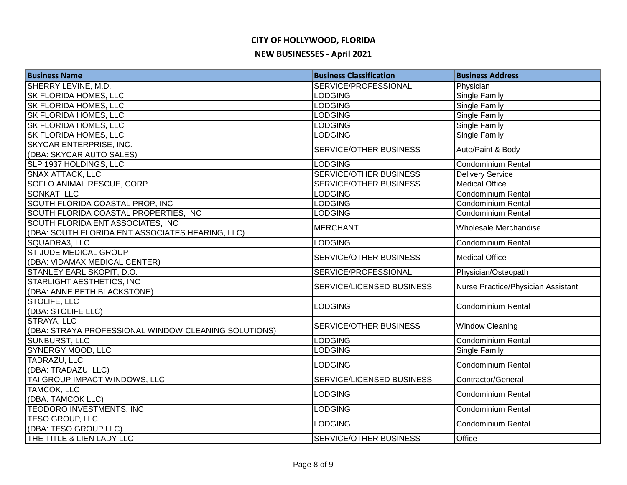| <b>Business Name</b>                                                                  | <b>Business Classification</b>   | <b>Business Address</b>            |
|---------------------------------------------------------------------------------------|----------------------------------|------------------------------------|
| SHERRY LEVINE, M.D.                                                                   | SERVICE/PROFESSIONAL             | Physician                          |
| <b>SK FLORIDA HOMES, LLC</b>                                                          | <b>LODGING</b>                   | <b>Single Family</b>               |
| <b>SK FLORIDA HOMES, LLC</b>                                                          | <b>LODGING</b>                   | Single Family                      |
| SK FLORIDA HOMES, LLC                                                                 | <b>LODGING</b>                   | Single Family                      |
| <b>SK FLORIDA HOMES, LLC</b>                                                          | <b>LODGING</b>                   | <b>Single Family</b>               |
| SK FLORIDA HOMES, LLC                                                                 | <b>LODGING</b>                   | Single Family                      |
| SKYCAR ENTERPRISE, INC.<br>(DBA: SKYCAR AUTO SALES)                                   | <b>SERVICE/OTHER BUSINESS</b>    | Auto/Paint & Body                  |
| SLP 1937 HOLDINGS, LLC                                                                | <b>LODGING</b>                   | Condominium Rental                 |
| <b>SNAX ATTACK, LLC</b>                                                               | <b>SERVICE/OTHER BUSINESS</b>    | <b>Delivery Service</b>            |
| SOFLO ANIMAL RESCUE, CORP                                                             | SERVICE/OTHER BUSINESS           | <b>Medical Office</b>              |
| <b>SONKAT, LLC</b>                                                                    | <b>LODGING</b>                   | Condominium Rental                 |
| SOUTH FLORIDA COASTAL PROP, INC                                                       | <b>LODGING</b>                   | Condominium Rental                 |
| SOUTH FLORIDA COASTAL PROPERTIES, INC                                                 | <b>LODGING</b>                   | <b>Condominium Rental</b>          |
| SOUTH FLORIDA ENT ASSOCIATES, INC<br>(DBA: SOUTH FLORIDA ENT ASSOCIATES HEARING, LLC) | <b>MERCHANT</b>                  | Wholesale Merchandise              |
| SQUADRA3, LLC                                                                         | <b>LODGING</b>                   | Condominium Rental                 |
| <b>ST JUDE MEDICAL GROUP</b><br>(DBA: VIDAMAX MEDICAL CENTER)                         | <b>SERVICE/OTHER BUSINESS</b>    | <b>Medical Office</b>              |
| STANLEY EARL SKOPIT, D.O.                                                             | SERVICE/PROFESSIONAL             | Physician/Osteopath                |
| <b>STARLIGHT AESTHETICS, INC</b>                                                      |                                  |                                    |
| (DBA: ANNE BETH BLACKSTONE)                                                           | SERVICE/LICENSED BUSINESS        | Nurse Practice/Physician Assistant |
| <b>STOLIFE, LLC</b><br>(DBA: STOLIFE LLC)                                             | <b>LODGING</b>                   | Condominium Rental                 |
| <b>STRAYA, LLC</b><br>(DBA: STRAYA PROFESSIONAL WINDOW CLEANING SOLUTIONS)            | SERVICE/OTHER BUSINESS           | <b>Window Cleaning</b>             |
| <b>SUNBURST, LLC</b>                                                                  | <b>LODGING</b>                   | Condominium Rental                 |
| <b>SYNERGY MOOD, LLC</b>                                                              | <b>LODGING</b>                   | Single Family                      |
| TADRAZU, LLC                                                                          | <b>LODGING</b>                   | Condominium Rental                 |
| (DBA: TRADAZU, LLC)                                                                   |                                  |                                    |
| TAI GROUP IMPACT WINDOWS, LLC                                                         | <b>SERVICE/LICENSED BUSINESS</b> | Contractor/General                 |
| <b>TAMCOK, LLC</b><br>(DBA: TAMCOK LLC)                                               | <b>LODGING</b>                   | Condominium Rental                 |
| <b>TEODORO INVESTMENTS, INC</b>                                                       | <b>LODGING</b>                   | <b>Condominium Rental</b>          |
| <b>TESO GROUP, LLC</b>                                                                |                                  |                                    |
| (DBA: TESO GROUP LLC)                                                                 | <b>LODGING</b>                   | Condominium Rental                 |
| THE TITLE & LIEN LADY LLC                                                             | <b>SERVICE/OTHER BUSINESS</b>    | Office                             |